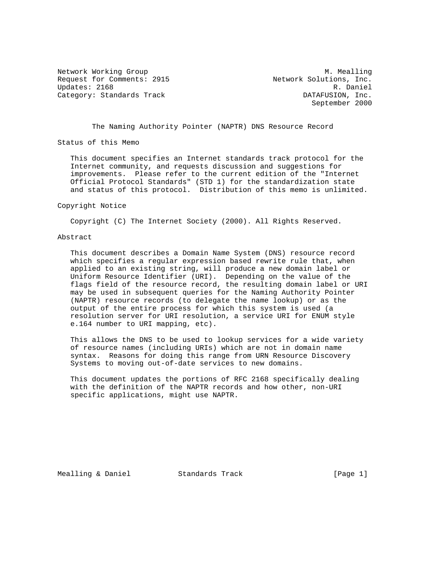Request for Comments: 2915 Network Solutions, Inc. Updates: 2168 R. Daniel Category: Standards Track DATAFUSION, Inc.

Network Working Group and Month Communications of M. Mealling September 2000

The Naming Authority Pointer (NAPTR) DNS Resource Record

Status of this Memo

 This document specifies an Internet standards track protocol for the Internet community, and requests discussion and suggestions for improvements. Please refer to the current edition of the "Internet Official Protocol Standards" (STD 1) for the standardization state and status of this protocol. Distribution of this memo is unlimited.

Copyright Notice

Copyright (C) The Internet Society (2000). All Rights Reserved.

## Abstract

 This document describes a Domain Name System (DNS) resource record which specifies a regular expression based rewrite rule that, when applied to an existing string, will produce a new domain label or Uniform Resource Identifier (URI). Depending on the value of the flags field of the resource record, the resulting domain label or URI may be used in subsequent queries for the Naming Authority Pointer (NAPTR) resource records (to delegate the name lookup) or as the output of the entire process for which this system is used (a resolution server for URI resolution, a service URI for ENUM style e.164 number to URI mapping, etc).

 This allows the DNS to be used to lookup services for a wide variety of resource names (including URIs) which are not in domain name syntax. Reasons for doing this range from URN Resource Discovery Systems to moving out-of-date services to new domains.

 This document updates the portions of RFC 2168 specifically dealing with the definition of the NAPTR records and how other, non-URI specific applications, might use NAPTR.

Mealling & Daniel Standards Track [Page 1]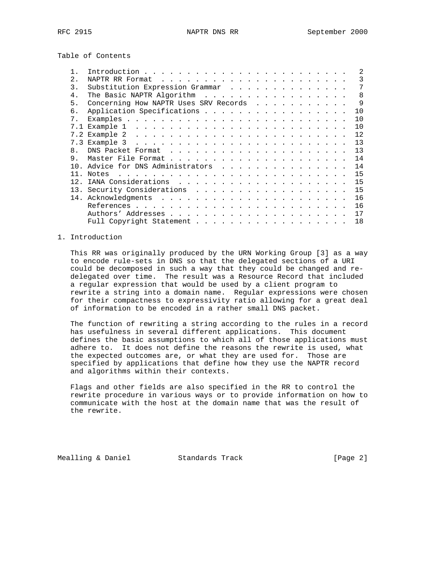Table of Contents

|                |                                                                                              | $\mathfrak{D}$ |
|----------------|----------------------------------------------------------------------------------------------|----------------|
| 2.             |                                                                                              | 3              |
| 3.             | Substitution Expression Grammar                                                              |                |
| $4$ .          | The Basic NAPTR Algorithm                                                                    | $\mathsf{R}$   |
| 5.             | Concerning How NAPTR Uses SRV Records                                                        | -9             |
| б.             | Application Specifications                                                                   | 10             |
| 7 <sup>1</sup> |                                                                                              | 10             |
|                |                                                                                              | 10             |
|                |                                                                                              | 12             |
|                |                                                                                              | 13             |
| 8              |                                                                                              | 13             |
| 9.             |                                                                                              | 14             |
|                | Advice for DNS Administrators                                                                | 14             |
| 11             | and the contract of the contract of the contract of the contract of the contract of<br>Notes | 15             |
|                |                                                                                              | 15             |
|                |                                                                                              | 15             |
|                |                                                                                              | 16             |
|                |                                                                                              | 16             |
|                |                                                                                              | 17             |
|                | Full Copyright Statement                                                                     | 18             |
|                |                                                                                              |                |

# 1. Introduction

 This RR was originally produced by the URN Working Group [3] as a way to encode rule-sets in DNS so that the delegated sections of a URI could be decomposed in such a way that they could be changed and re delegated over time. The result was a Resource Record that included a regular expression that would be used by a client program to rewrite a string into a domain name. Regular expressions were chosen for their compactness to expressivity ratio allowing for a great deal of information to be encoded in a rather small DNS packet.

 The function of rewriting a string according to the rules in a record has usefulness in several different applications. This document defines the basic assumptions to which all of those applications must adhere to. It does not define the reasons the rewrite is used, what the expected outcomes are, or what they are used for. Those are specified by applications that define how they use the NAPTR record and algorithms within their contexts.

 Flags and other fields are also specified in the RR to control the rewrite procedure in various ways or to provide information on how to communicate with the host at the domain name that was the result of the rewrite.

Mealling & Daniel Standards Track [Page 2]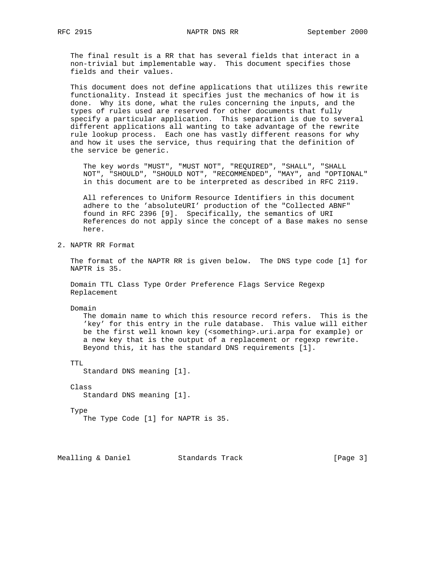The final result is a RR that has several fields that interact in a non-trivial but implementable way. This document specifies those fields and their values.

 This document does not define applications that utilizes this rewrite functionality. Instead it specifies just the mechanics of how it is done. Why its done, what the rules concerning the inputs, and the types of rules used are reserved for other documents that fully specify a particular application. This separation is due to several different applications all wanting to take advantage of the rewrite rule lookup process. Each one has vastly different reasons for why and how it uses the service, thus requiring that the definition of the service be generic.

 The key words "MUST", "MUST NOT", "REQUIRED", "SHALL", "SHALL NOT", "SHOULD", "SHOULD NOT", "RECOMMENDED", "MAY", and "OPTIONAL" in this document are to be interpreted as described in RFC 2119.

 All references to Uniform Resource Identifiers in this document adhere to the 'absoluteURI' production of the "Collected ABNF" found in RFC 2396 [9]. Specifically, the semantics of URI References do not apply since the concept of a Base makes no sense here.

2. NAPTR RR Format

 The format of the NAPTR RR is given below. The DNS type code [1] for NAPTR is 35.

 Domain TTL Class Type Order Preference Flags Service Regexp Replacement

Domain

 The domain name to which this resource record refers. This is the 'key' for this entry in the rule database. This value will either be the first well known key (<something>.uri.arpa for example) or a new key that is the output of a replacement or regexp rewrite. Beyond this, it has the standard DNS requirements [1].

TTL

Standard DNS meaning [1].

```
 Class
```
Standard DNS meaning [1].

# Type

The Type Code [1] for NAPTR is 35.

Mealling & Daniel Standards Track [Page 3]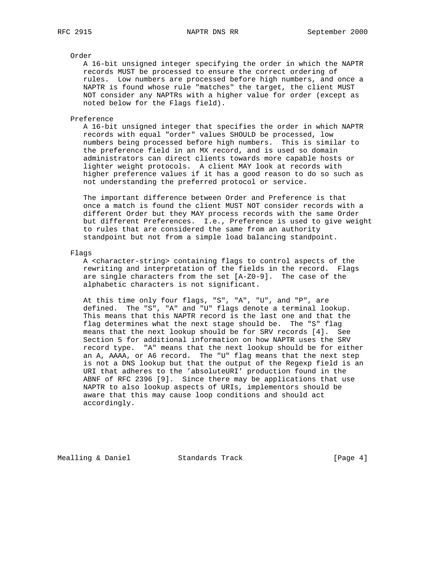## Order

 A 16-bit unsigned integer specifying the order in which the NAPTR records MUST be processed to ensure the correct ordering of rules. Low numbers are processed before high numbers, and once a NAPTR is found whose rule "matches" the target, the client MUST NOT consider any NAPTRs with a higher value for order (except as noted below for the Flags field).

### Preference

 A 16-bit unsigned integer that specifies the order in which NAPTR records with equal "order" values SHOULD be processed, low numbers being processed before high numbers. This is similar to the preference field in an MX record, and is used so domain administrators can direct clients towards more capable hosts or lighter weight protocols. A client MAY look at records with higher preference values if it has a good reason to do so such as not understanding the preferred protocol or service.

 The important difference between Order and Preference is that once a match is found the client MUST NOT consider records with a different Order but they MAY process records with the same Order but different Preferences. I.e., Preference is used to give weight to rules that are considered the same from an authority standpoint but not from a simple load balancing standpoint.

### Flags

 A <character-string> containing flags to control aspects of the rewriting and interpretation of the fields in the record. Flags are single characters from the set [A-Z0-9]. The case of the alphabetic characters is not significant.

 At this time only four flags, "S", "A", "U", and "P", are defined. The "S", "A" and "U" flags denote a terminal lookup. This means that this NAPTR record is the last one and that the flag determines what the next stage should be. The "S" flag means that the next lookup should be for SRV records [4]. See Section 5 for additional information on how NAPTR uses the SRV record type. "A" means that the next lookup should be for either an A, AAAA, or A6 record. The "U" flag means that the next step is not a DNS lookup but that the output of the Regexp field is an URI that adheres to the 'absoluteURI' production found in the ABNF of RFC 2396 [9]. Since there may be applications that use NAPTR to also lookup aspects of URIs, implementors should be aware that this may cause loop conditions and should act accordingly.

Mealling & Daniel Standards Track [Page 4]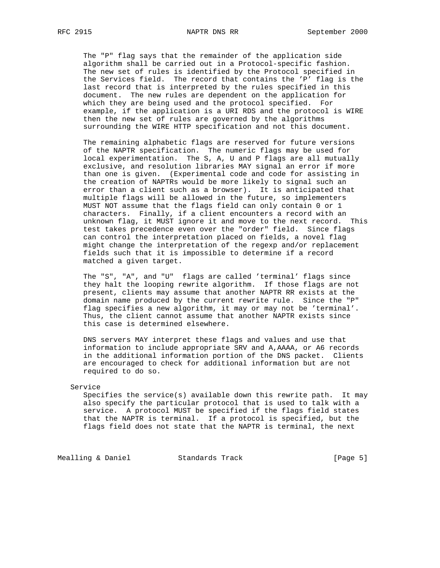The "P" flag says that the remainder of the application side algorithm shall be carried out in a Protocol-specific fashion. The new set of rules is identified by the Protocol specified in the Services field. The record that contains the 'P' flag is the last record that is interpreted by the rules specified in this document. The new rules are dependent on the application for which they are being used and the protocol specified. For example, if the application is a URI RDS and the protocol is WIRE then the new set of rules are governed by the algorithms surrounding the WIRE HTTP specification and not this document.

 The remaining alphabetic flags are reserved for future versions of the NAPTR specification. The numeric flags may be used for local experimentation. The S, A, U and P flags are all mutually exclusive, and resolution libraries MAY signal an error if more than one is given. (Experimental code and code for assisting in the creation of NAPTRs would be more likely to signal such an error than a client such as a browser). It is anticipated that multiple flags will be allowed in the future, so implementers MUST NOT assume that the flags field can only contain 0 or 1 characters. Finally, if a client encounters a record with an unknown flag, it MUST ignore it and move to the next record. This test takes precedence even over the "order" field. Since flags can control the interpretation placed on fields, a novel flag might change the interpretation of the regexp and/or replacement fields such that it is impossible to determine if a record matched a given target.

 The "S", "A", and "U" flags are called 'terminal' flags since they halt the looping rewrite algorithm. If those flags are not present, clients may assume that another NAPTR RR exists at the domain name produced by the current rewrite rule. Since the "P" flag specifies a new algorithm, it may or may not be 'terminal'. Thus, the client cannot assume that another NAPTR exists since this case is determined elsewhere.

 DNS servers MAY interpret these flags and values and use that information to include appropriate SRV and A,AAAA, or A6 records in the additional information portion of the DNS packet. Clients are encouraged to check for additional information but are not required to do so.

#### Service

 Specifies the service(s) available down this rewrite path. It may also specify the particular protocol that is used to talk with a service. A protocol MUST be specified if the flags field states that the NAPTR is terminal. If a protocol is specified, but the flags field does not state that the NAPTR is terminal, the next

Mealling & Daniel **Standards Track** [Page 5]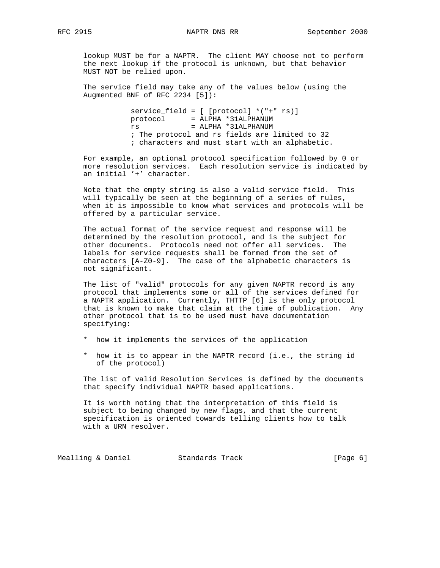lookup MUST be for a NAPTR. The client MAY choose not to perform the next lookup if the protocol is unknown, but that behavior MUST NOT be relied upon.

 The service field may take any of the values below (using the Augmented BNF of RFC 2234 [5]):

> service\_field =  $[$  [protocol] \*("+"  $rs$ )] protocol = ALPHA \*31ALPHANUM rs = ALPHA \*31ALPHANUM ; The protocol and rs fields are limited to 32 ; characters and must start with an alphabetic.

 For example, an optional protocol specification followed by 0 or more resolution services. Each resolution service is indicated by an initial '+' character.

 Note that the empty string is also a valid service field. This will typically be seen at the beginning of a series of rules, when it is impossible to know what services and protocols will be offered by a particular service.

 The actual format of the service request and response will be determined by the resolution protocol, and is the subject for other documents. Protocols need not offer all services. The labels for service requests shall be formed from the set of characters [A-Z0-9]. The case of the alphabetic characters is not significant.

 The list of "valid" protocols for any given NAPTR record is any protocol that implements some or all of the services defined for a NAPTR application. Currently, THTTP [6] is the only protocol that is known to make that claim at the time of publication. Any other protocol that is to be used must have documentation specifying:

- \* how it implements the services of the application
- \* how it is to appear in the NAPTR record (i.e., the string id of the protocol)

 The list of valid Resolution Services is defined by the documents that specify individual NAPTR based applications.

 It is worth noting that the interpretation of this field is subject to being changed by new flags, and that the current specification is oriented towards telling clients how to talk with a URN resolver.

Mealling & Daniel Standards Track (Page 6)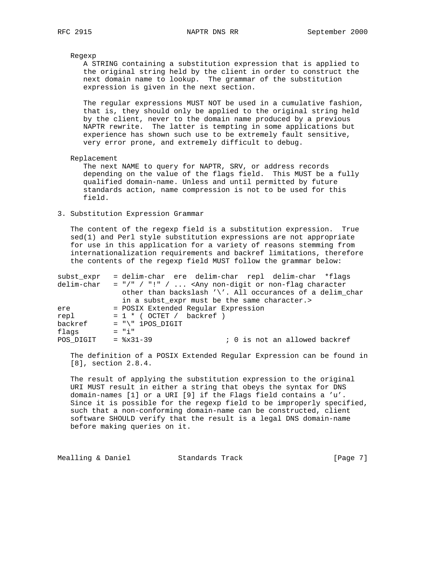### Regexp

 A STRING containing a substitution expression that is applied to the original string held by the client in order to construct the next domain name to lookup. The grammar of the substitution expression is given in the next section.

 The regular expressions MUST NOT be used in a cumulative fashion, that is, they should only be applied to the original string held by the client, never to the domain name produced by a previous NAPTR rewrite. The latter is tempting in some applications but experience has shown such use to be extremely fault sensitive, very error prone, and extremely difficult to debug.

#### Replacement

 The next NAME to query for NAPTR, SRV, or address records depending on the value of the flags field. This MUST be a fully qualified domain-name. Unless and until permitted by future standards action, name compression is not to be used for this field.

### 3. Substitution Expression Grammar

 The content of the regexp field is a substitution expression. True sed(1) and Perl style substitution expressions are not appropriate for use in this application for a variety of reasons stemming from internationalization requirements and backref limitations, therefore the contents of the regexp field MUST follow the grammar below:

| subst expr | = delim-char ere delim-char repl delim-char *flags       |
|------------|----------------------------------------------------------|
| delim-char | $=$ "/" / "!" /  < Any non-digit or non-flag character   |
|            | other than backslash '\'. All occurances of a delim_char |
|            | in a subst expr must be the same character.>             |
| ere        | = POSIX Extended Reqular Expression                      |
| repl       | $= 1 * (OCTET / backref)$                                |
| backref    | $= "\\" 1POS DIGIT"$                                     |
| flags      | $=$ "i"                                                  |
| POS DIGIT  | $=$ $8x31-39$<br>; 0 is not an allowed backref           |

 The definition of a POSIX Extended Regular Expression can be found in [8], section 2.8.4.

 The result of applying the substitution expression to the original URI MUST result in either a string that obeys the syntax for DNS domain-names [1] or a URI [9] if the Flags field contains a 'u'. Since it is possible for the regexp field to be improperly specified, such that a non-conforming domain-name can be constructed, client software SHOULD verify that the result is a legal DNS domain-name before making queries on it.

Mealling & Daniel Standards Track [Page 7]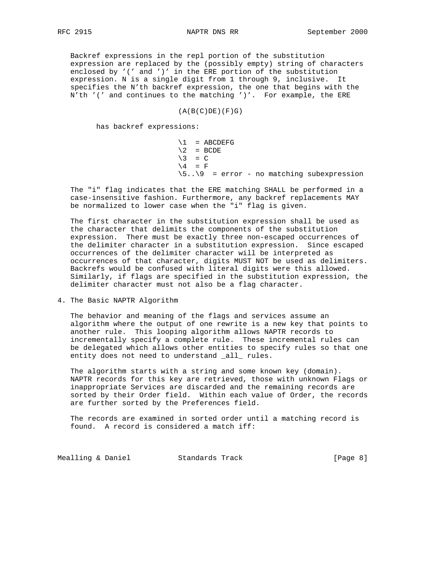Backref expressions in the repl portion of the substitution expression are replaced by the (possibly empty) string of characters enclosed by '(' and ')' in the ERE portion of the substitution expression. N is a single digit from 1 through 9, inclusive. It specifies the N'th backref expression, the one that begins with the N'th '(' and continues to the matching ')'. For example, the ERE

 $(A(B(C)DE)(F)G)$ 

has backref expressions:

 $\lvert 1 \rvert$  = ABCDEFG  $\backslash 2$  = BCDE  $\begin{pmatrix} 3 & = C \end{pmatrix}$  $\setminus 4$  = F  $\3..\$  9 = error - no matching subexpression

 The "i" flag indicates that the ERE matching SHALL be performed in a case-insensitive fashion. Furthermore, any backref replacements MAY be normalized to lower case when the "i" flag is given.

 The first character in the substitution expression shall be used as the character that delimits the components of the substitution expression. There must be exactly three non-escaped occurrences of the delimiter character in a substitution expression. Since escaped occurrences of the delimiter character will be interpreted as occurrences of that character, digits MUST NOT be used as delimiters. Backrefs would be confused with literal digits were this allowed. Similarly, if flags are specified in the substitution expression, the delimiter character must not also be a flag character.

4. The Basic NAPTR Algorithm

 The behavior and meaning of the flags and services assume an algorithm where the output of one rewrite is a new key that points to another rule. This looping algorithm allows NAPTR records to incrementally specify a complete rule. These incremental rules can be delegated which allows other entities to specify rules so that one entity does not need to understand \_all\_ rules.

 The algorithm starts with a string and some known key (domain). NAPTR records for this key are retrieved, those with unknown Flags or inappropriate Services are discarded and the remaining records are sorted by their Order field. Within each value of Order, the records are further sorted by the Preferences field.

 The records are examined in sorted order until a matching record is found. A record is considered a match iff:

Mealling & Daniel Standards Track (Page 8)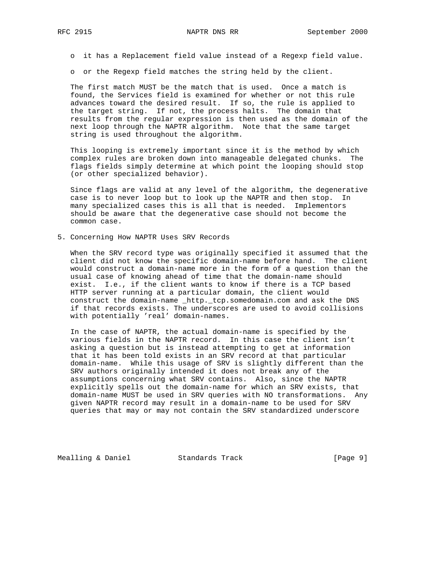o it has a Replacement field value instead of a Regexp field value.

o or the Regexp field matches the string held by the client.

 The first match MUST be the match that is used. Once a match is found, the Services field is examined for whether or not this rule advances toward the desired result. If so, the rule is applied to the target string. If not, the process halts. The domain that results from the regular expression is then used as the domain of the next loop through the NAPTR algorithm. Note that the same target string is used throughout the algorithm.

 This looping is extremely important since it is the method by which complex rules are broken down into manageable delegated chunks. The flags fields simply determine at which point the looping should stop (or other specialized behavior).

 Since flags are valid at any level of the algorithm, the degenerative case is to never loop but to look up the NAPTR and then stop. In many specialized cases this is all that is needed. Implementors should be aware that the degenerative case should not become the common case.

5. Concerning How NAPTR Uses SRV Records

 When the SRV record type was originally specified it assumed that the client did not know the specific domain-name before hand. The client would construct a domain-name more in the form of a question than the usual case of knowing ahead of time that the domain-name should exist. I.e., if the client wants to know if there is a TCP based HTTP server running at a particular domain, the client would construct the domain-name \_http.\_tcp.somedomain.com and ask the DNS if that records exists. The underscores are used to avoid collisions with potentially 'real' domain-names.

 In the case of NAPTR, the actual domain-name is specified by the various fields in the NAPTR record. In this case the client isn't asking a question but is instead attempting to get at information that it has been told exists in an SRV record at that particular domain-name. While this usage of SRV is slightly different than the SRV authors originally intended it does not break any of the assumptions concerning what SRV contains. Also, since the NAPTR explicitly spells out the domain-name for which an SRV exists, that domain-name MUST be used in SRV queries with NO transformations. Any given NAPTR record may result in a domain-name to be used for SRV queries that may or may not contain the SRV standardized underscore

Mealling & Daniel Standards Track (Page 9)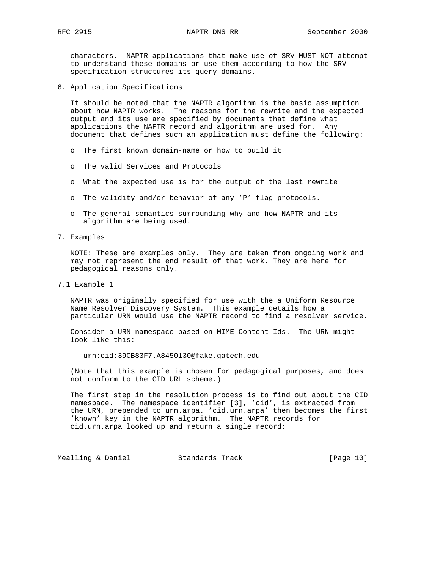characters. NAPTR applications that make use of SRV MUST NOT attempt to understand these domains or use them according to how the SRV specification structures its query domains.

6. Application Specifications

 It should be noted that the NAPTR algorithm is the basic assumption about how NAPTR works. The reasons for the rewrite and the expected output and its use are specified by documents that define what applications the NAPTR record and algorithm are used for. Any document that defines such an application must define the following:

- o The first known domain-name or how to build it
- o The valid Services and Protocols
- o What the expected use is for the output of the last rewrite
- o The validity and/or behavior of any 'P' flag protocols.
- o The general semantics surrounding why and how NAPTR and its algorithm are being used.
- 7. Examples

 NOTE: These are examples only. They are taken from ongoing work and may not represent the end result of that work. They are here for pedagogical reasons only.

7.1 Example 1

 NAPTR was originally specified for use with the a Uniform Resource Name Resolver Discovery System. This example details how a particular URN would use the NAPTR record to find a resolver service.

 Consider a URN namespace based on MIME Content-Ids. The URN might look like this:

urn:cid:39CB83F7.A8450130@fake.gatech.edu

 (Note that this example is chosen for pedagogical purposes, and does not conform to the CID URL scheme.)

 The first step in the resolution process is to find out about the CID namespace. The namespace identifier [3], 'cid', is extracted from the URN, prepended to urn.arpa. 'cid.urn.arpa' then becomes the first 'known' key in the NAPTR algorithm. The NAPTR records for cid.urn.arpa looked up and return a single record:

Mealling & Daniel **Standards Track** [Page 10]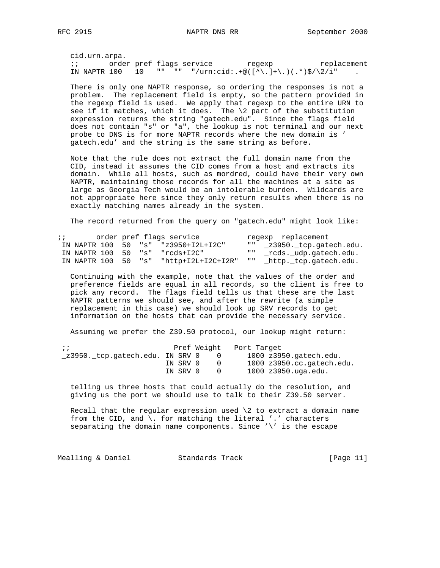cid.urn.arpa. ;; bridger pref flags service that regexp teplacement IN NAPTR 100 10 "" "" "/urn:cid:.+@( $[\wedge]$ .)+\.)(.\*)\$/\2/i"

 There is only one NAPTR response, so ordering the responses is not a problem. The replacement field is empty, so the pattern provided in the regexp field is used. We apply that regexp to the entire URN to see if it matches, which it does. The  $\2$  part of the substitution expression returns the string "gatech.edu". Since the flags field does not contain "s" or "a", the lookup is not terminal and our next probe to DNS is for more NAPTR records where the new domain is ' gatech.edu' and the string is the same string as before.

 Note that the rule does not extract the full domain name from the CID, instead it assumes the CID comes from a host and extracts its domain. While all hosts, such as mordred, could have their very own NAPTR, maintaining those records for all the machines at a site as large as Georgia Tech would be an intolerable burden. Wildcards are not appropriate here since they only return results when there is no exactly matching names already in the system.

The record returned from the query on "gatech.edu" might look like:

| $\ddot{i}$ |  | order pref flags service                              | regexp replacement        |
|------------|--|-------------------------------------------------------|---------------------------|
|            |  | IN NAPTR 100 50 "s" "z3950+I2L+I2C"                   | "" z3950. tcp.gatech.edu. |
|            |  | IN NAPTR 100 50 "s" "rcds+I2C"                        | "" rcds. udp.gatech.edu.  |
|            |  | IN NAPTR $100\quad 50\quad$ "s" "http+I2L+I2C+I2R" "" | _http._tcp.gatech.edu.    |

 Continuing with the example, note that the values of the order and preference fields are equal in all records, so the client is free to pick any record. The flags field tells us that these are the last NAPTR patterns we should see, and after the rewrite (a simple replacement in this case) we should look up SRV records to get information on the hosts that can provide the necessary service.

Assuming we prefer the Z39.50 protocol, our lookup might return:

| $\cdots$                        |          | Pref Weight | Port Target                     |
|---------------------------------|----------|-------------|---------------------------------|
| z3950. tcp.gatech.edu. IN SRV 0 |          |             | $1000$ $z3950$ . $qatech.edu$ . |
|                                 | IN SRV 0 |             | $1000$ $z3950$ .cc.gatech.edu.  |
|                                 | IN SRV 0 |             | 1000 z3950.uga.edu.             |

 telling us three hosts that could actually do the resolution, and giving us the port we should use to talk to their Z39.50 server.

Recall that the regular expression used  $\2$  to extract a domain name from the CID, and  $\setminus$ . for matching the literal '.' characters separating the domain name components. Since '\' is the escape

Mealling & Daniel **Standards Track** [Page 11]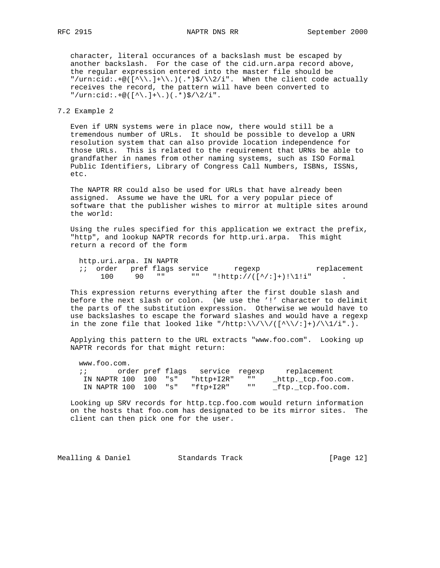character, literal occurances of a backslash must be escaped by another backslash. For the case of the cid.urn.arpa record above, the regular expression entered into the master file should be "/urn:cid:.+@( $[\wedge\backslash\ldots]$ + $\backslash\ldots$ )(.\*)\$/ $\backslash\backslash2/i$ ". When the client code actually receives the record, the pattern will have been converted to  $"\/urn:cid: +@([^{\wedge}\,.]+\\).)(.*)\$  /  $\}/2/i".$ 

# 7.2 Example 2

 Even if URN systems were in place now, there would still be a tremendous number of URLs. It should be possible to develop a URN resolution system that can also provide location independence for those URLs. This is related to the requirement that URNs be able to grandfather in names from other naming systems, such as ISO Formal Public Identifiers, Library of Congress Call Numbers, ISBNs, ISSNs, etc.

 The NAPTR RR could also be used for URLs that have already been assigned. Assume we have the URL for a very popular piece of software that the publisher wishes to mirror at multiple sites around the world:

 Using the rules specified for this application we extract the prefix, "http", and lookup NAPTR records for http.uri.arpa. This might return a record of the form

http.uri.arpa. IN NAPTR

|  |     |    | <i>ii</i> order pref flags service | regexp                  | replacement |
|--|-----|----|------------------------------------|-------------------------|-------------|
|  | 100 | 90 | <b>11 H</b>                        | "!http://([^/:]+)!\1!i" |             |

 This expression returns everything after the first double slash and before the next slash or colon. (We use the '!' character to delimit the parts of the substitution expression. Otherwise we would have to use backslashes to escape the forward slashes and would have a regexp in the zone file that looked like "/http:\\/\\/([^\\/:]+)/\\1/i".).

 Applying this pattern to the URL extracts "www.foo.com". Looking up NAPTR records for that might return:

 www.foo.com. ;; order pref flags service regexp replacement IN NAPTR 100 100 "s" "http+I2R" "" \_http.\_tcp.foo.com. IN NAPTR 100 100 "s" "ftp+I2R" "" \_ftp.\_tcp.foo.com.

 Looking up SRV records for http.tcp.foo.com would return information on the hosts that foo.com has designated to be its mirror sites. The client can then pick one for the user.

| [Page $12$ ]<br>Mealling & Daniel<br>Standards Track |
|------------------------------------------------------|
|------------------------------------------------------|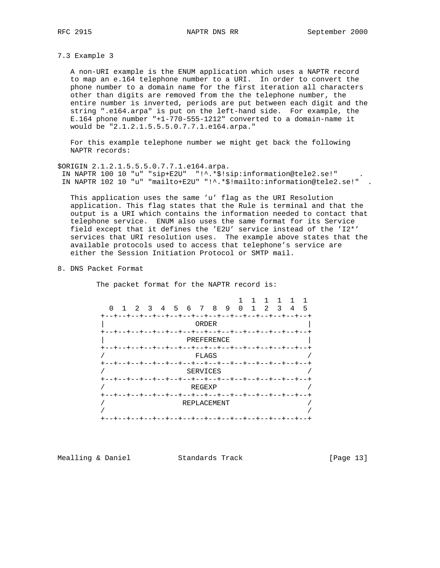7.3 Example 3

 A non-URI example is the ENUM application which uses a NAPTR record to map an e.164 telephone number to a URI. In order to convert the phone number to a domain name for the first iteration all characters other than digits are removed from the the telephone number, the entire number is inverted, periods are put between each digit and the string ".e164.arpa" is put on the left-hand side. For example, the E.164 phone number "+1-770-555-1212" converted to a domain-name it would be "2.1.2.1.5.5.5.0.7.7.1.e164.arpa."

 For this example telephone number we might get back the following NAPTR records:

\$ORIGIN 2.1.2.1.5.5.5.0.7.7.1.e164.arpa. IN NAPTR 100 10 "u" "sip+E2U" "!^.\*\$!sip:information@tele2.se!" . IN NAPTR 102 10 "u" "mailto+E2U" "!^.\*\$!mailto:information@tele2.se!" .

 This application uses the same 'u' flag as the URI Resolution application. This flag states that the Rule is terminal and that the output is a URI which contains the information needed to contact that telephone service. ENUM also uses the same format for its Service field except that it defines the 'E2U' service instead of the 'I2\*' services that URI resolution uses. The example above states that the available protocols used to access that telephone's service are either the Session Initiation Protocol or SMTP mail.

8. DNS Packet Format

The packet format for the NAPTR record is:

 1 1 1 1 1 1 0 1 2 3 4 5 6 7 8 9 0 1 2 3 4 5 +--+--+--+--+--+--+--+--+--+--+--+--+--+--+--+--+ | ORDER | +--+--+--+--+--+--+--+--+--+--+--+--+--+--+--+--+ | PREFERENCE | +--+--+--+--+--+--+--+--+--+--+--+--+--+--+--+--+  $\sqrt{2}$  /  $\sqrt{2}$   $\sqrt{2}$   $\sqrt{2}$   $\sqrt{2}$   $\sqrt{2}$   $\sqrt{2}$   $\sqrt{2}$   $\sqrt{2}$   $\sqrt{2}$   $\sqrt{2}$   $\sqrt{2}$   $\sqrt{2}$   $\sqrt{2}$   $\sqrt{2}$   $\sqrt{2}$   $\sqrt{2}$   $\sqrt{2}$   $\sqrt{2}$   $\sqrt{2}$   $\sqrt{2}$   $\sqrt{2}$   $\sqrt{2}$   $\sqrt{2}$   $\sqrt{2}$   $\sqrt{2}$   $\sqrt{2}$   $\sqrt$  +--+--+--+--+--+--+--+--+--+--+--+--+--+--+--+--+ SERVICES +--+--+--+--+--+--+--+--+--+--+--+--+--+--+--+--+  $REGEXP$  +--+--+--+--+--+--+--+--+--+--+--+--+--+--+--+--+ / REPLACEMENT / / / +--+--+--+--+--+--+--+--+--+--+--+--+--+--+--+--+

Mealling & Daniel Standards Track [Page 13]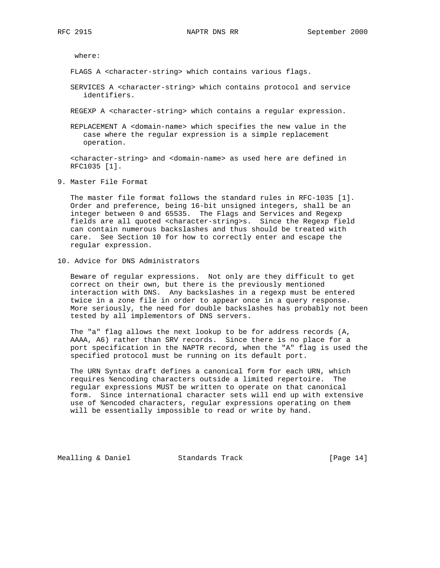where:

- FLAGS A <character-string> which contains various flags.
- SERVICES A <character-string> which contains protocol and service identifiers.
- REGEXP A <character-string> which contains a regular expression.
- REPLACEMENT A <domain-name> which specifies the new value in the case where the regular expression is a simple replacement operation.

 <character-string> and <domain-name> as used here are defined in RFC1035 [1].

9. Master File Format

 The master file format follows the standard rules in RFC-1035 [1]. Order and preference, being 16-bit unsigned integers, shall be an integer between 0 and 65535. The Flags and Services and Regexp fields are all quoted <character-string>s. Since the Regexp field can contain numerous backslashes and thus should be treated with care. See Section 10 for how to correctly enter and escape the regular expression.

10. Advice for DNS Administrators

 Beware of regular expressions. Not only are they difficult to get correct on their own, but there is the previously mentioned interaction with DNS. Any backslashes in a regexp must be entered twice in a zone file in order to appear once in a query response. More seriously, the need for double backslashes has probably not been tested by all implementors of DNS servers.

 The "a" flag allows the next lookup to be for address records (A, AAAA, A6) rather than SRV records. Since there is no place for a port specification in the NAPTR record, when the "A" flag is used the specified protocol must be running on its default port.

 The URN Syntax draft defines a canonical form for each URN, which requires %encoding characters outside a limited repertoire. The regular expressions MUST be written to operate on that canonical form. Since international character sets will end up with extensive use of %encoded characters, regular expressions operating on them will be essentially impossible to read or write by hand.

Mealling & Daniel Standards Track [Page 14]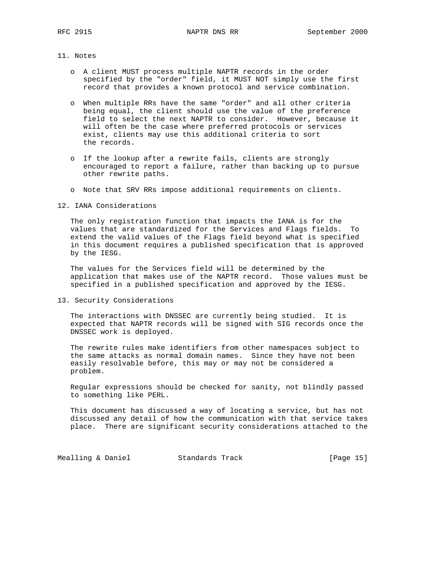### 11. Notes

- o A client MUST process multiple NAPTR records in the order specified by the "order" field, it MUST NOT simply use the first record that provides a known protocol and service combination.
- o When multiple RRs have the same "order" and all other criteria being equal, the client should use the value of the preference field to select the next NAPTR to consider. However, because it will often be the case where preferred protocols or services exist, clients may use this additional criteria to sort the records.
- o If the lookup after a rewrite fails, clients are strongly encouraged to report a failure, rather than backing up to pursue other rewrite paths.
- o Note that SRV RRs impose additional requirements on clients.

### 12. IANA Considerations

 The only registration function that impacts the IANA is for the values that are standardized for the Services and Flags fields. To extend the valid values of the Flags field beyond what is specified in this document requires a published specification that is approved by the IESG.

 The values for the Services field will be determined by the application that makes use of the NAPTR record. Those values must be specified in a published specification and approved by the IESG.

13. Security Considerations

 The interactions with DNSSEC are currently being studied. It is expected that NAPTR records will be signed with SIG records once the DNSSEC work is deployed.

 The rewrite rules make identifiers from other namespaces subject to the same attacks as normal domain names. Since they have not been easily resolvable before, this may or may not be considered a problem.

 Regular expressions should be checked for sanity, not blindly passed to something like PERL.

 This document has discussed a way of locating a service, but has not discussed any detail of how the communication with that service takes place. There are significant security considerations attached to the

Mealling & Daniel **Standards Track** [Page 15]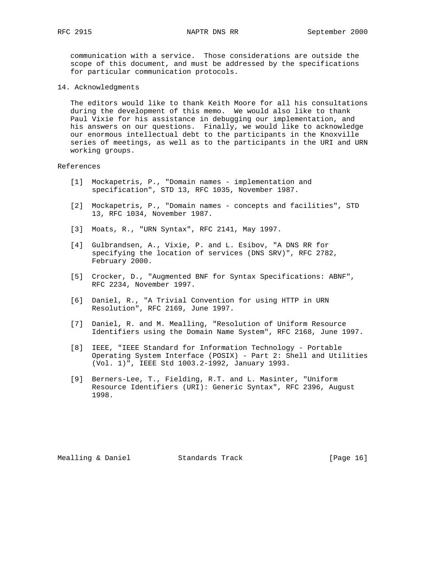communication with a service. Those considerations are outside the scope of this document, and must be addressed by the specifications for particular communication protocols.

14. Acknowledgments

 The editors would like to thank Keith Moore for all his consultations during the development of this memo. We would also like to thank Paul Vixie for his assistance in debugging our implementation, and his answers on our questions. Finally, we would like to acknowledge our enormous intellectual debt to the participants in the Knoxville series of meetings, as well as to the participants in the URI and URN working groups.

#### References

- [1] Mockapetris, P., "Domain names implementation and specification", STD 13, RFC 1035, November 1987.
- [2] Mockapetris, P., "Domain names concepts and facilities", STD 13, RFC 1034, November 1987.
- [3] Moats, R., "URN Syntax", RFC 2141, May 1997.
- [4] Gulbrandsen, A., Vixie, P. and L. Esibov, "A DNS RR for specifying the location of services (DNS SRV)", RFC 2782, February 2000.
- [5] Crocker, D., "Augmented BNF for Syntax Specifications: ABNF", RFC 2234, November 1997.
- [6] Daniel, R., "A Trivial Convention for using HTTP in URN Resolution", RFC 2169, June 1997.
- [7] Daniel, R. and M. Mealling, "Resolution of Uniform Resource Identifiers using the Domain Name System", RFC 2168, June 1997.
- [8] IEEE, "IEEE Standard for Information Technology Portable Operating System Interface (POSIX) - Part 2: Shell and Utilities (Vol. 1)", IEEE Std 1003.2-1992, January 1993.
- [9] Berners-Lee, T., Fielding, R.T. and L. Masinter, "Uniform Resource Identifiers (URI): Generic Syntax", RFC 2396, August 1998.

Mealling & Daniel Standards Track [Page 16]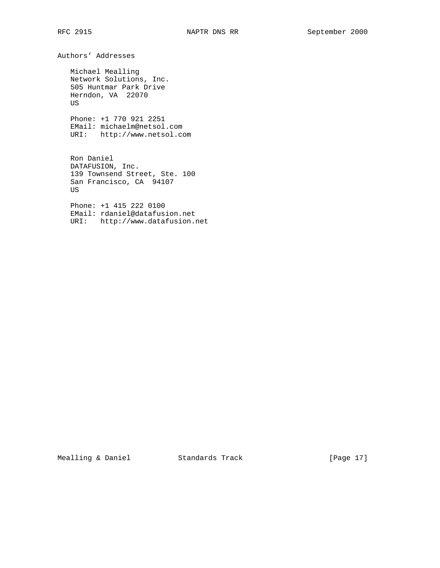Authors' Addresses

 Michael Mealling Network Solutions, Inc. 505 Huntmar Park Drive Herndon, VA 22070 US

 Phone: +1 770 921 2251 EMail: michaelm@netsol.com URI: http://www.netsol.com

 Ron Daniel DATAFUSION, Inc. 139 Townsend Street, Ste. 100 San Francisco, CA 94107 US

 Phone: +1 415 222 0100 EMail: rdaniel@datafusion.net URI: http://www.datafusion.net

Mealling & Daniel Standards Track [Page 17]